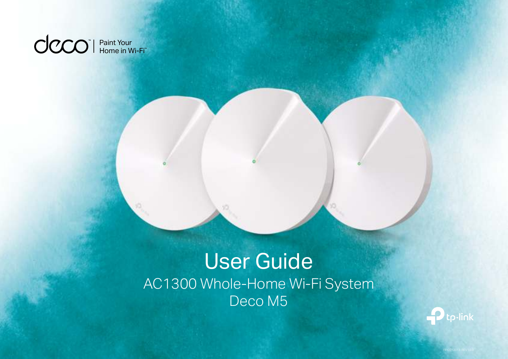

## User Guide AC1300 Whole-Home Wi-Fi System Deco M5

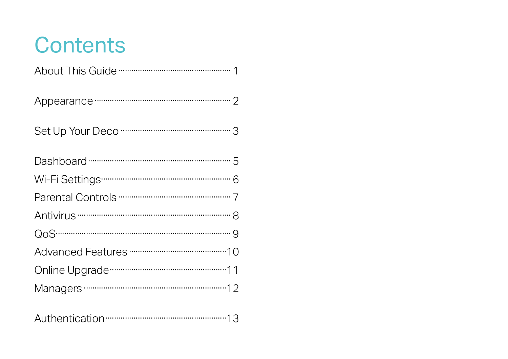## Contents

| Appearance monumental control 2 |
|---------------------------------|
|                                 |
|                                 |
|                                 |
|                                 |
|                                 |
|                                 |
|                                 |
|                                 |
|                                 |
|                                 |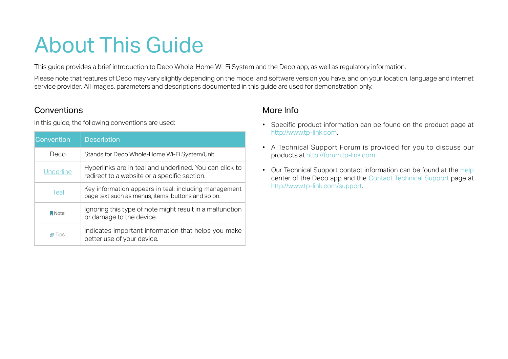## About This Guide

This guide provides a brief introduction to Deco Whole-Home Wi-Fi System and the Deco app, as well as regulatory information.

Please note that features of Deco may vary slightly depending on the model and software version you have, and on your location, language and internet service provider. All images, parameters and descriptions documented in this guide are used for demonstration only.

## **Conventions**

In this guide, the following conventions are used:

| Convention            | <b>Description</b>                                                                                          |  |
|-----------------------|-------------------------------------------------------------------------------------------------------------|--|
| Deco                  | Stands for Deco Whole-Home Wi-Fi System/Unit.                                                               |  |
| <b>Underline</b>      | Hyperlinks are in teal and underlined. You can click to<br>redirect to a website or a specific section.     |  |
| Teal                  | Key information appears in teal, including management<br>page text such as menus, items, buttons and so on. |  |
| Note:                 | Ignoring this type of note might result in a malfunction<br>or damage to the device.                        |  |
| <i><b>⊘</b></i> Tips: | Indicates important information that helps you make<br>better use of your device.                           |  |

## More Info

- Specific product information can be found on the product page at http://www.tp-link.com.
- A Technical Support Forum is provided for you to discuss our products at http://forum.tp-link.com.
- Our Technical Support contact information can be found at the Help center of the Deco app and the Contact Technical Support page at http://www.tp-link.com/support.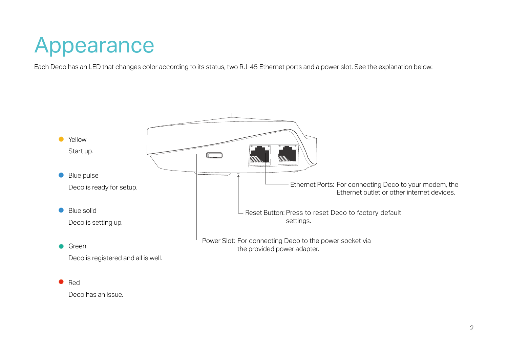## Appearance

Each Deco has an LED that changes color according to its status, two RJ-45 Ethernet ports and a power slot. See the explanation below:

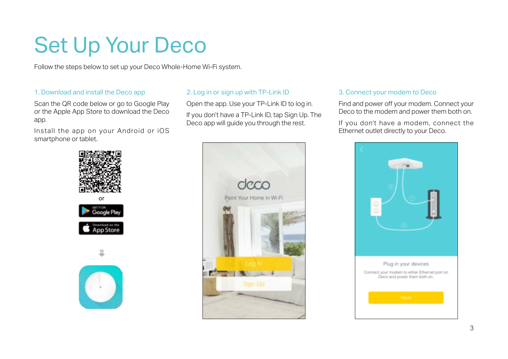## Set Up Your Deco

Follow the steps below to set up your Deco Whole-Home Wi-Fi system.

### 1. Download and install the Deco app

Scan the QR code below or go to Google Play or the Apple App Store to download the Deco app.

Install the app on your Android or iOS smartphone or tablet.



### 2. Log in or sign up with TP-Link ID

Open the app. Use your TP-Link ID to log in.

If you don't have a TP-Link ID, tap Sign Up. The Deco app will guide you through the rest.



### 3. Connect your modem to Deco

Find and power off your modem. Connect your Deco to the modem and power them both on.

If you don't have a modem, connect the Ethernet outlet directly to your Deco.

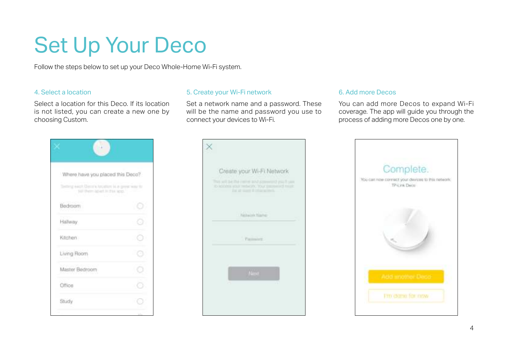## Set Up Your Deco

Follow the steps below to set up your Deco Whole-Home Wi-Fi system.

### 4. Select a location

Select a location for this Deco. If its location is not listed, you can create a new one by choosing Custom.

### 5. Create your Wi-Fi network

Set a network name and a password. These will be the name and password you use to connect your devices to Wi-Fi.

### 6. Add more Decos

You can add more Decos to expand Wi-Fi coverage. The app will guide you through the process of adding more Decos one by one.

| Where have you placed this Deco?                                                       |    |
|----------------------------------------------------------------------------------------|----|
| Setting each Detrin bruillers is a great way to<br>sail them apart in the lend." - 111 |    |
| Bedroom                                                                                | -6 |
| Hallway.                                                                               |    |
| Kitchen                                                                                |    |
| Living Room                                                                            |    |
| Master Bedroom                                                                         |    |
| Office                                                                                 |    |
| Study                                                                                  |    |
|                                                                                        |    |



| Complete.<br>You-can now corriect your devices to this network:<br>TP-Link Deitir |
|-----------------------------------------------------------------------------------|
|                                                                                   |
| l'mi dane for now                                                                 |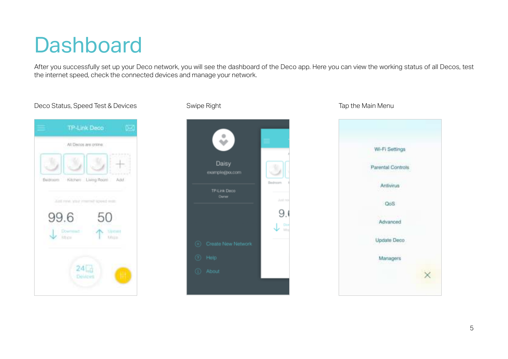## **Dashboard**

After you successfully set up your Deco network, you will see the dashboard of the Deco app. Here you can view the working status of all Decos, test the internet speed, check the connected devices and manage your network.





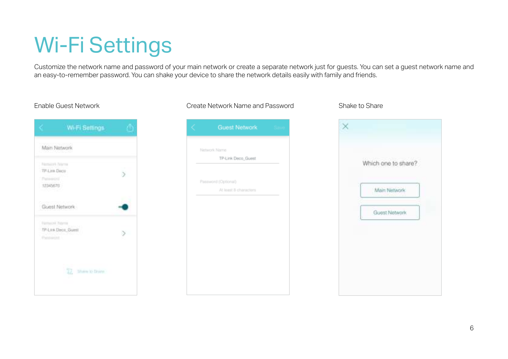## Wi-Fi Settings

Customize the network name and password of your main network or create a separate network just for guests. You can set a guest network name and an easy-to-remember password. You can shake your device to share the network details easily with family and friends.

### Enable Guest Network Create Network Name and Password Shake to Share

|                                                                            | Wi-Fi Settings         |  |
|----------------------------------------------------------------------------|------------------------|--|
| Main Network                                                               |                        |  |
| Filippine Feleron<br>TP-Link Decir<br>Pateelimi<br>12345670<br>un na Kilia |                        |  |
|                                                                            | Guest Network          |  |
| Farmer H. Februa<br>Personnel                                              | TP-Low Deco, Guest     |  |
|                                                                            | TZ.<br>Share to Done - |  |

## **Guest Network** Network Name TP-Link Deco\_Guest Password (Optional) At least 8 characters

# $\times$ Which one to share? Main Natwork Guest Network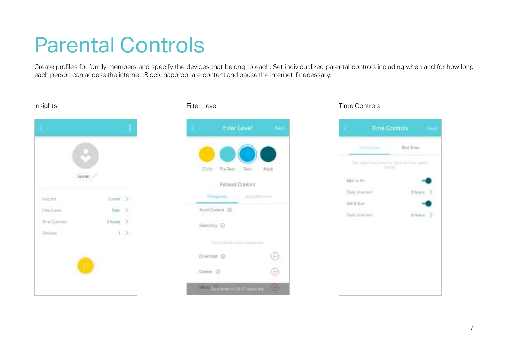## Parental Controls

Create profiles for family members and specify the devices that belong to each. Set individualized parental controls including when and for how long each person can access the internet. Block inappropriate content and pause the internet if necessary.





### Insights Filter Level Time Controls

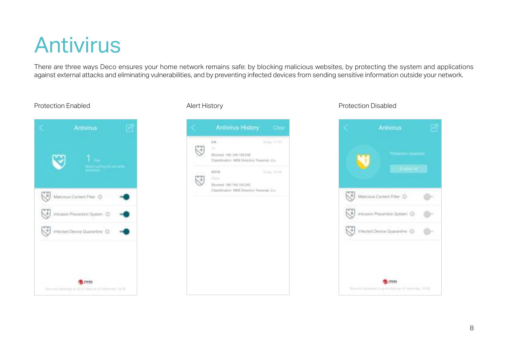## Antivirus

There are three ways Deco ensures your home network remains safe: by blocking malicious websites, by protecting the system and applications against external attacks and eliminating vulnerabilities, and by preventing infected devices from sending sensitive information outside your network.

|    | Malcous Content Filter (D)                   |  |
|----|----------------------------------------------|--|
| K, | Intrusion Prevention System (D)              |  |
|    | <sup>CH</sup> Infected Device Quarantine (C) |  |
|    |                                              |  |
|    | 19898                                        |  |



### Protection Enabled **Alert History** Alert History **Alert History** Protection Disabled

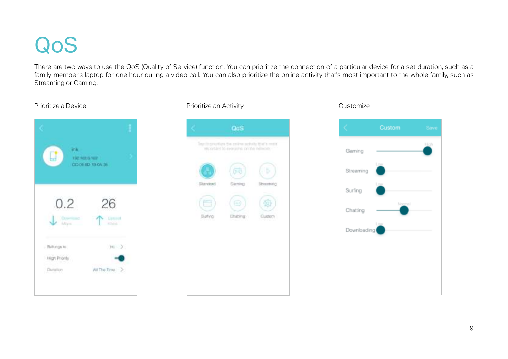## QoS

There are two ways to use the QoS (Quality of Service) function. You can prioritize the connection of a particular device for a set duration, such as a family member's laptop for one hour during a video call. You can also prioritize the online activity that's most important to the whole family, such as Streaming or Gaming.





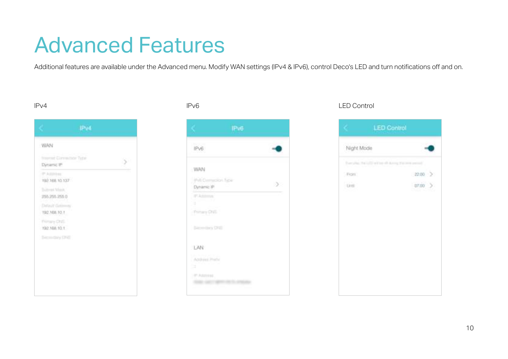## Advanced Features

Additional features are available under the Advanced menu. Modify WAN settings (IPv4 & IPv6), control Deco's LED and turn notifications off and on.

| frommit Convention Type<br>Dimanic (P) |  |
|----------------------------------------|--|
| IP Address<br>192.108.10.157           |  |
| Birtmet Mass.<br>255, 255, 255.0       |  |
| Detailt Group<br>192,166,10,1          |  |
| <b>Thirty DVE</b><br>192.168.10.1      |  |
| <b>Separatory DNE</b>                  |  |



### IPv4 IPv6 LED Control

| Night Mode                         |             |
|------------------------------------|-------------|
| hanying the LTD within 40 Army You | and permit  |
| Figitt                             | 22.00       |
| <b>Unit</b>                        | 07.00<br>am |
|                                    |             |
|                                    |             |
|                                    |             |
|                                    |             |
|                                    |             |
|                                    |             |
|                                    |             |
|                                    |             |
|                                    |             |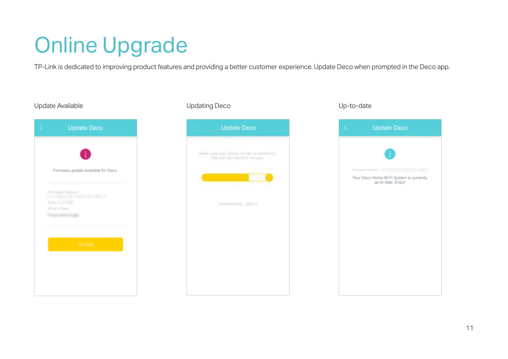## Online Upgrade

TP-Link is dedicated to improving product features and providing a better customer experience. Update Deco when prompted in the Deco app.





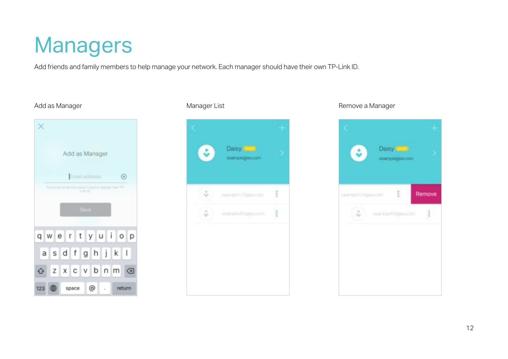## Managers

Add friends and family members to help manage your network. Each manager should have their own TP-Link ID.





### Add as Manager **Manager List** Manager List Remove a Manager List Remove a Manager

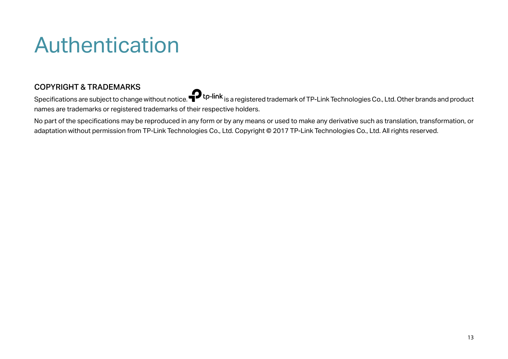## Authentication

## COPYRIGHT & TRADEMARKS

Specifications are subject to change without notice.  $\bullet$  tp-link is a registered trademark of TP-Link Technologies Co., Ltd. Other brands and product names are trademarks or registered trademarks of their respective holders.

No part of the specifications may be reproduced in any form or by any means or used to make any derivative such as translation, transformation, or adaptation without permission from TP-Link Technologies Co., Ltd. Copyright © 2017 TP-Link Technologies Co., Ltd. All rights reserved.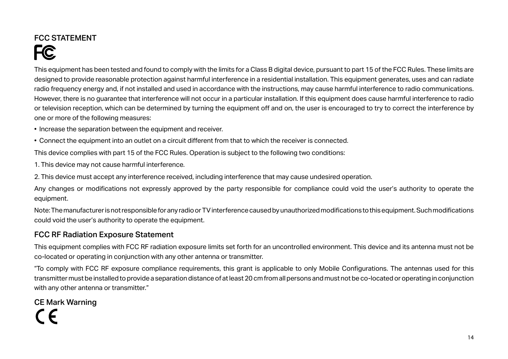## FCC STATEMENT

**FC** 

This equipment has been tested and found to comply with the limits for a Class B digital device, pursuant to part 15 of the FCC Rules. These limits are designed to provide reasonable protection against harmful interference in a residential installation. This equipment generates, uses and can radiate radio frequency energy and, if not installed and used in accordance with the instructions, may cause harmful interference to radio communications. However, there is no guarantee that interference will not occur in a particular installation. If this equipment does cause harmful interference to radio or television reception, which can be determined by turning the equipment off and on, the user is encouraged to try to correct the interference by one or more of the following measures:

- Increase the separation between the equipment and receiver.
- Connect the equipment into an outlet on a circuit different from that to which the receiver is connected.

This device complies with part 15 of the FCC Rules. Operation is subject to the following two conditions:

1. This device may not cause harmful interference.

2. This device must accept any interference received, including interference that may cause undesired operation.

Any changes or modifications not expressly approved by the party responsible for compliance could void the user's authority to operate the equipment.

Note: The manufacturer is not responsible for any radio or TV interference caused by unauthorized modifications to this equipment. Such modifications could void the user's authority to operate the equipment.

## FCC RF Radiation Exposure Statement

This equipment complies with FCC RF radiation exposure limits set forth for an uncontrolled environment. This device and its antenna must not be co-located or operating in conjunction with any other antenna or transmitter.

"To comply with FCC RF exposure compliance requirements, this grant is applicable to only Mobile Configurations. The antennas used for this transmitter must be installed to provide a separation distance of at least 20 cm from all persons and must not be co-located or operating in conjunction with any other antenna or transmitter."

## CE Mark Warning C C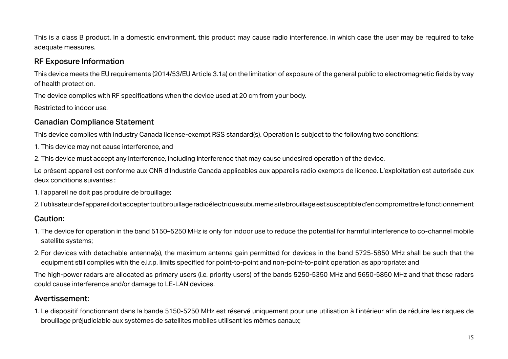This is a class B product. In a domestic environment, this product may cause radio interference, in which case the user may be required to take adequate measures.

## RF Exposure Information

This device meets the EU requirements (2014/53/EU Article 3.1a) on the limitation of exposure of the general public to electromagnetic fields by way of health protection.

The device complies with RF specifications when the device used at 20 cm from your body.

Restricted to indoor use.

## Canadian Compliance Statement

This device complies with Industry Canada license-exempt RSS standard(s). Operation is subject to the following two conditions:

- 1. This device may not cause interference, and
- 2. This device must accept any interference, including interference that may cause undesired operation of the device.

Le présent appareil est conforme aux CNR d'Industrie Canada applicables aux appareils radio exempts de licence. L'exploitation est autorisée aux deux conditions suivantes :

- 1. l'appareil ne doit pas produire de brouillage;
- 2. l'utilisateur de l'appareil doit accepter tout brouillage radioélectrique subi, meme si le brouillage est susceptible d'en compromettre le fonctionnement

## Caution:

- 1. The device for operation in the band 5150–5250 MHz is only for indoor use to reduce the potential for harmful interference to co-channel mobile satellite systems;
- 2. For devices with detachable antenna(s), the maximum antenna gain permitted for devices in the band 5725-5850 MHz shall be such that the equipment still complies with the e.i.r.p. limits specified for point-to-point and non-point-to-point operation as appropriate; and

The high-power radars are allocated as primary users (i.e. priority users) of the bands 5250-5350 MHz and 5650-5850 MHz and that these radars could cause interference and/or damage to LE-LAN devices.

## Avertissement:

1. Le dispositif fonctionnant dans la bande 5150-5250 MHz est réservé uniquement pour une utilisation à l'intérieur afin de réduire les risques de brouillage préjudiciable aux systèmes de satellites mobiles utilisant les mêmes canaux;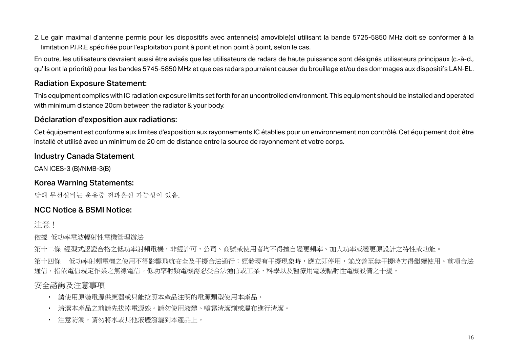2. Le gain maximal d'antenne permis pour les dispositifs avec antenne(s) amovible(s) utilisant la bande 5725-5850 MHz doit se conformer à la limitation P.I.R.E spécifiée pour l'exploitation point à point et non point à point, selon le cas.

En outre, les utilisateurs devraient aussi être avisés que les utilisateurs de radars de haute puissance sont désignés utilisateurs principaux (c.-à-d., qu'ils ont la priorité) pour les bandes 5745-5850 MHz et que ces radars pourraient causer du brouillage et/ou des dommages aux dispositifs LAN-EL.

### Radiation Exposure Statement:

This equipment complies with IC radiation exposure limits set forth for an uncontrolled environment. This equipment should be installed and operated with minimum distance 20cm between the radiator & your body.

### Déclaration d'exposition aux radiations:

Cet équipement est conforme aux limites d'exposition aux rayonnements IC établies pour un environnement non contrôlé. Cet équipement doit être installé et utilisé avec un minimum de 20 cm de distance entre la source de rayonnement et votre corps.

### Industry Canada Statement

CAN ICES-3 (B)/NMB-3(B)

### Korea Warning Statements:

당해 무선설비는 운용중 전파혼신 가능성이 있음.

## NCC Notice & BSMI Notice:

注意!

依據 低功率電波輻射性電機管理辦法

第十二條 經型式認證合格之低功率射頻電機,非經許可,公司、商號或使用者均不得擅自變更頻率、加大功率或變更原設計之特性或功能。

第十四條 低功率射頻電機之使用不得影響飛航安全及干擾合法通行;經發現有干擾現象時,應立即停用,並改善至無干擾時方得繼續使用。前項合法 通信,指依電信規定作業之無線電信。低功率射頻電機需忍受合法通信或工業、科學以及醫療用電波輻射性電機設備之干擾。

## 安全諮詢及注意事項

- 請使用原裝電源供應器或只能按照本產品注明的電源類型使用本產品。
- 清潔本產品之前請先拔掉電源線。請勿使用液體、噴霧清潔劑或濕布進行清潔。
- 注意防潮,請勿將水或其他液體潑灑到本產品上。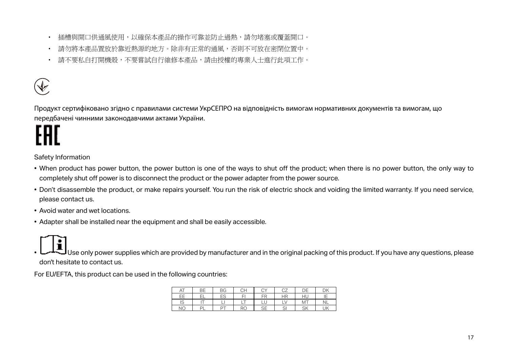- 插槽與開口供涌風使用,以確保本產品的操作可靠並防止過熱,請勿堵塞或覆蓋開口。
- 請勿將本產品置放於靠近熱源的地方。除非有正常的通風,否則不可放在密閉位置中。
- 請不要私自打開機殼,不要嘗試自行維修本產品,請由授權的專業人士進行此項工作。



Продукт сертифіковано згідно с правилами системи УкрСЕПРО на відповідність вимогам нормативних документів та вимогам, що передбачені чинними законодавчими актами України.

Safety Information

- When product has power button, the power button is one of the ways to shut off the product; when there is no power button, the only way to completely shut off power is to disconnect the product or the power adapter from the power source.
- Don't disassemble the product, or make repairs yourself. You run the risk of electric shock and voiding the limited warranty. If you need service, please contact us.
- Avoid water and wet locations.
- Adapter shall be installed near the equipment and shall be easily accessible.

 $\vert$ Use only power supplies which are provided by manufacturer and in the original packing of this product. If you have any questions, please don't hesitate to contact us.

For EU/EFTA, this product can be used in the following countries:

| ΑI           | <b>BE</b> | BG | CН  | СY           | $\sim$ $-$<br>◡∠ | nЕ        | ηĸ<br>D٨  |
|--------------|-----------|----|-----|--------------|------------------|-----------|-----------|
| EE           | --        | ES | Е   | FR           | <b>HR</b>        | HU        | −י<br>. . |
| $\sim$<br>∪ו |           |    | - 1 | ◡            | ∽                | <b>MT</b> | <b>NL</b> |
| NΟ           | -         |    | RC  | $\cap$<br>್ರ | اب               | <b>SK</b> | UK        |